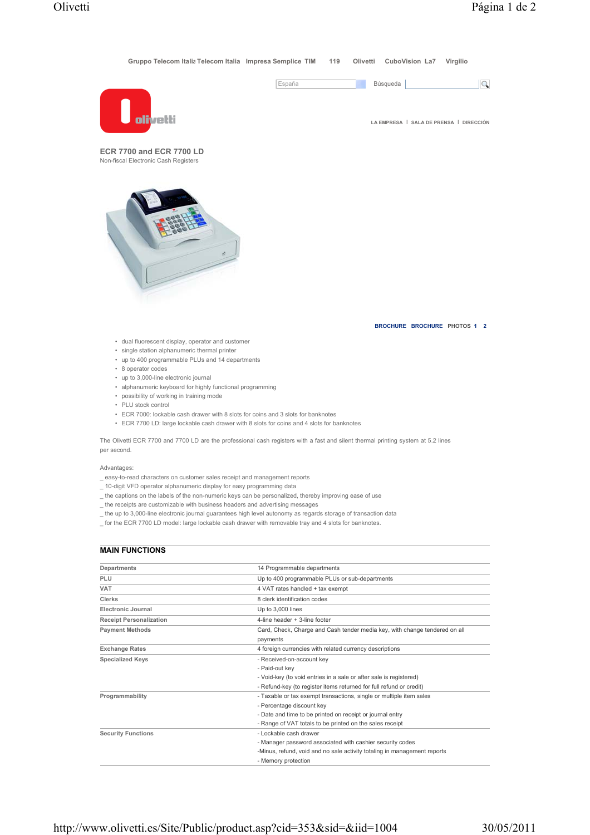